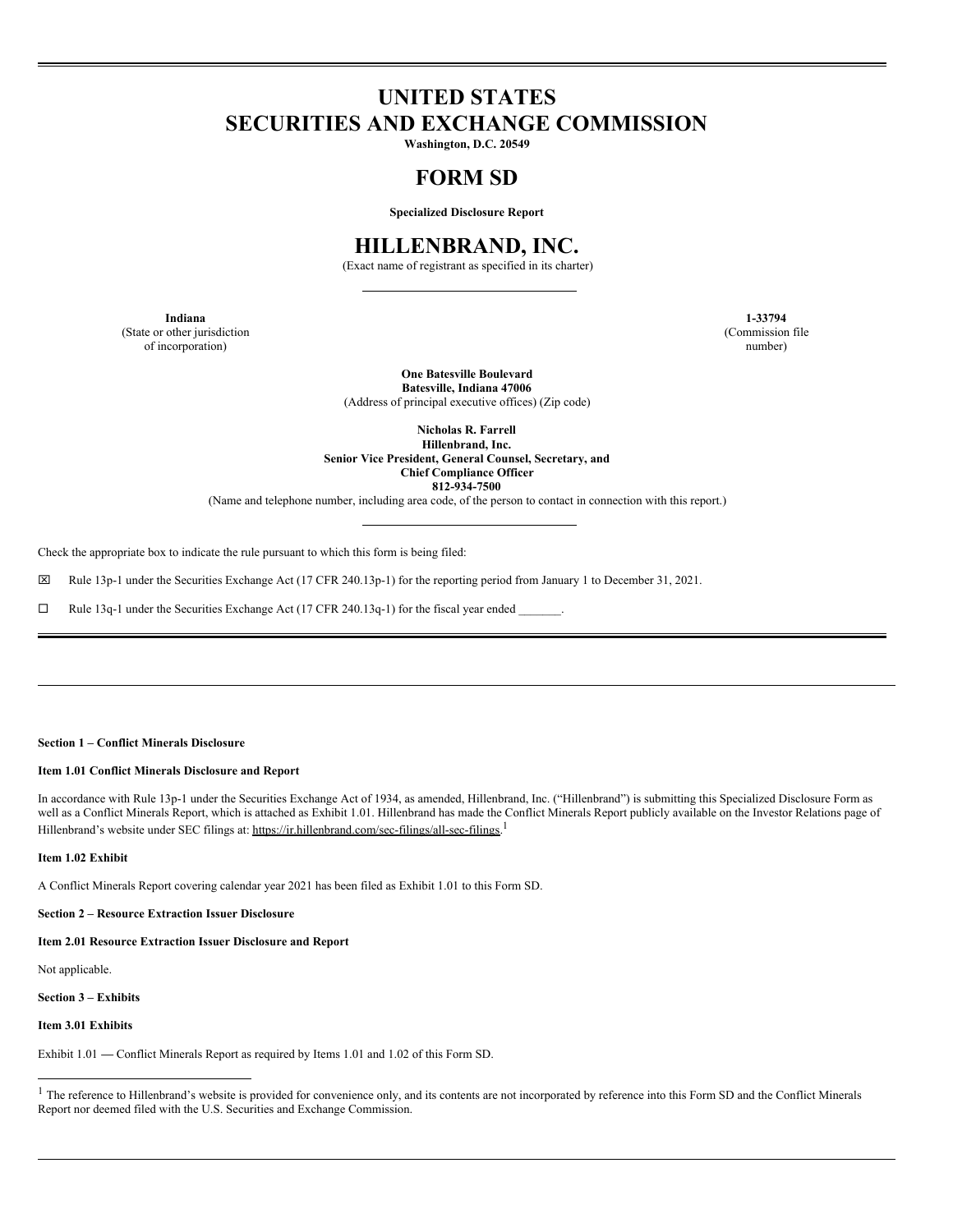# **UNITED STATES SECURITIES AND EXCHANGE COMMISSION**

**Washington, D.C. 20549**

# **FORM SD**

**Specialized Disclosure Report**

# **HILLENBRAND, INC.**

(Exact name of registrant as specified in its charter)

of incorporation)

**Indiana 1-33794** (State or other jurisdiction (Commission file<br>
of incorrooration) (Commission file<br>
of incorrooration) (Commission file

> **One Batesville Boulevard Batesville, Indiana 47006** (Address of principal executive offices) (Zip code)

**Nicholas R. Farrell Hillenbrand, Inc. Senior Vice President, General Counsel, Secretary, and Chief Compliance Officer 812-934-7500**

(Name and telephone number, including area code, of the person to contact in connection with this report.)

Check the appropriate box to indicate the rule pursuant to which this form is being filed:

x Rule 13p-1 under the Securities Exchange Act (17 CFR 240.13p-1) for the reporting period from January 1 to December 31, 2021.

 $\Box$  Rule 13q-1 under the Securities Exchange Act (17 CFR 240.13q-1) for the fiscal year ended

## **Section 1 – Conflict Minerals Disclosure**

#### **Item 1.01 Conflict Minerals Disclosure and Report**

In accordance with Rule 13p-1 under the Securities Exchange Act of 1934, as amended, Hillenbrand, Inc. ("Hillenbrand") is submitting this Specialized Disclosure Form as well as a Conflict Minerals Report, which is attached as Exhibit 1.01. Hillenbrand has made the Conflict Minerals Report publicly available on the Investor Relations page of Hillenbrand's website under SEC filings at: https://ir.hillenbrand.com/sec-filings/all-sec-filings.<sup>1</sup>

## **Item 1.02 Exhibit**

A Conflict Minerals Report covering calendar year 2021 has been filed as Exhibit 1.01 to this Form SD.

**Section 2 – Resource Extraction Issuer Disclosure**

## **Item 2.01 Resource Extraction Issuer Disclosure and Report**

Not applicable.

**Section 3 – Exhibits**

**Item 3.01 Exhibits**

Exhibit 1.01 **—** Conflict Minerals Report as required by Items 1.01 and 1.02 of this Form SD.

<sup>&</sup>lt;sup>1</sup> The reference to Hillenbrand's website is provided for convenience only, and its contents are not incorporated by reference into this Form SD and the Conflict Minerals Report nor deemed filed with the U.S. Securities and Exchange Commission.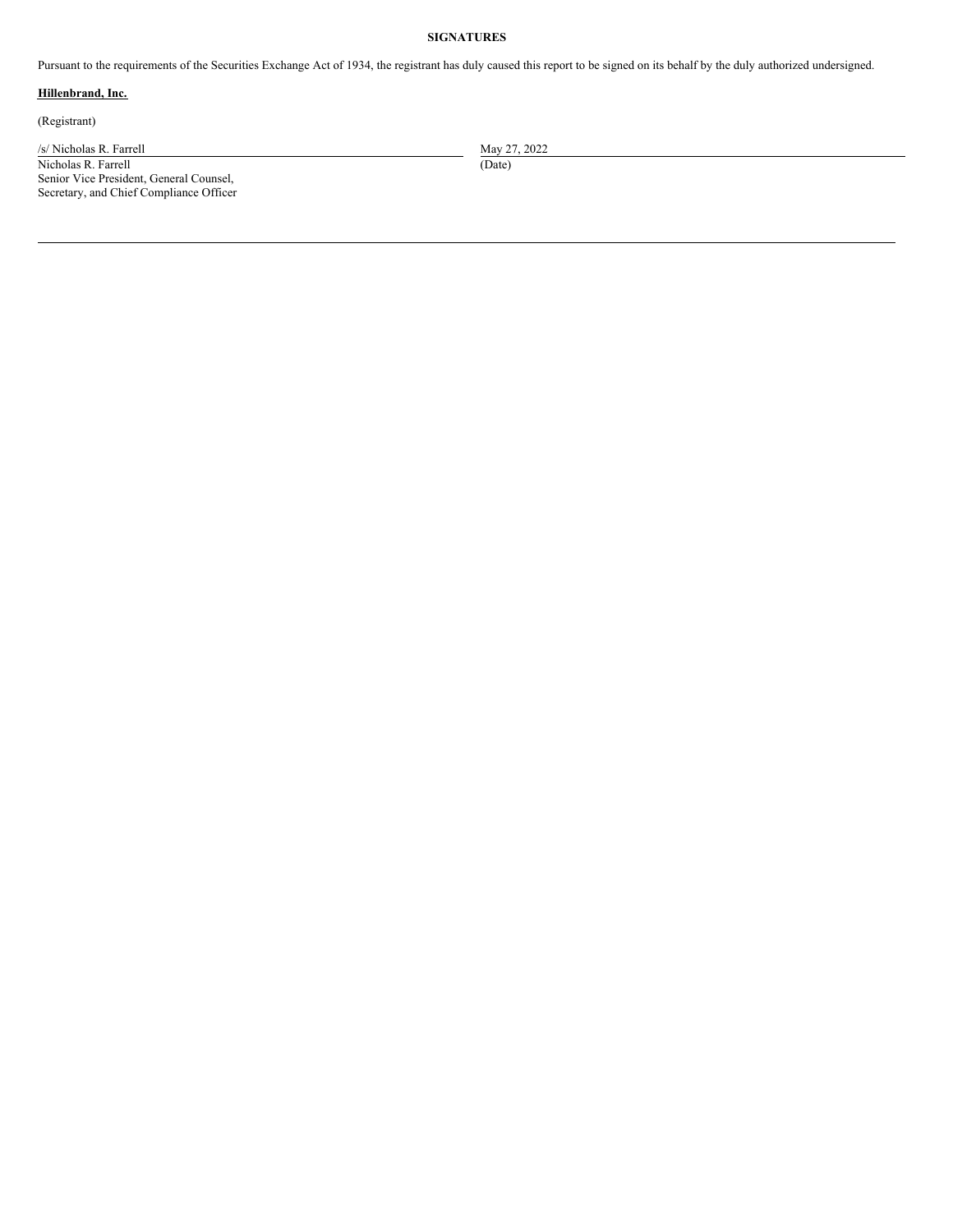## **SIGNATURES**

Pursuant to the requirements of the Securities Exchange Act of 1934, the registrant has duly caused this report to be signed on its behalf by the duly authorized undersigned.

## **Hillenbrand, Inc.**

(Registrant)

/s/ Nicholas R. Farrell May 27, 2022 Nicholas R. Farrell (Date) Senior Vice President, General Counsel, Secretary, and Chief Compliance Officer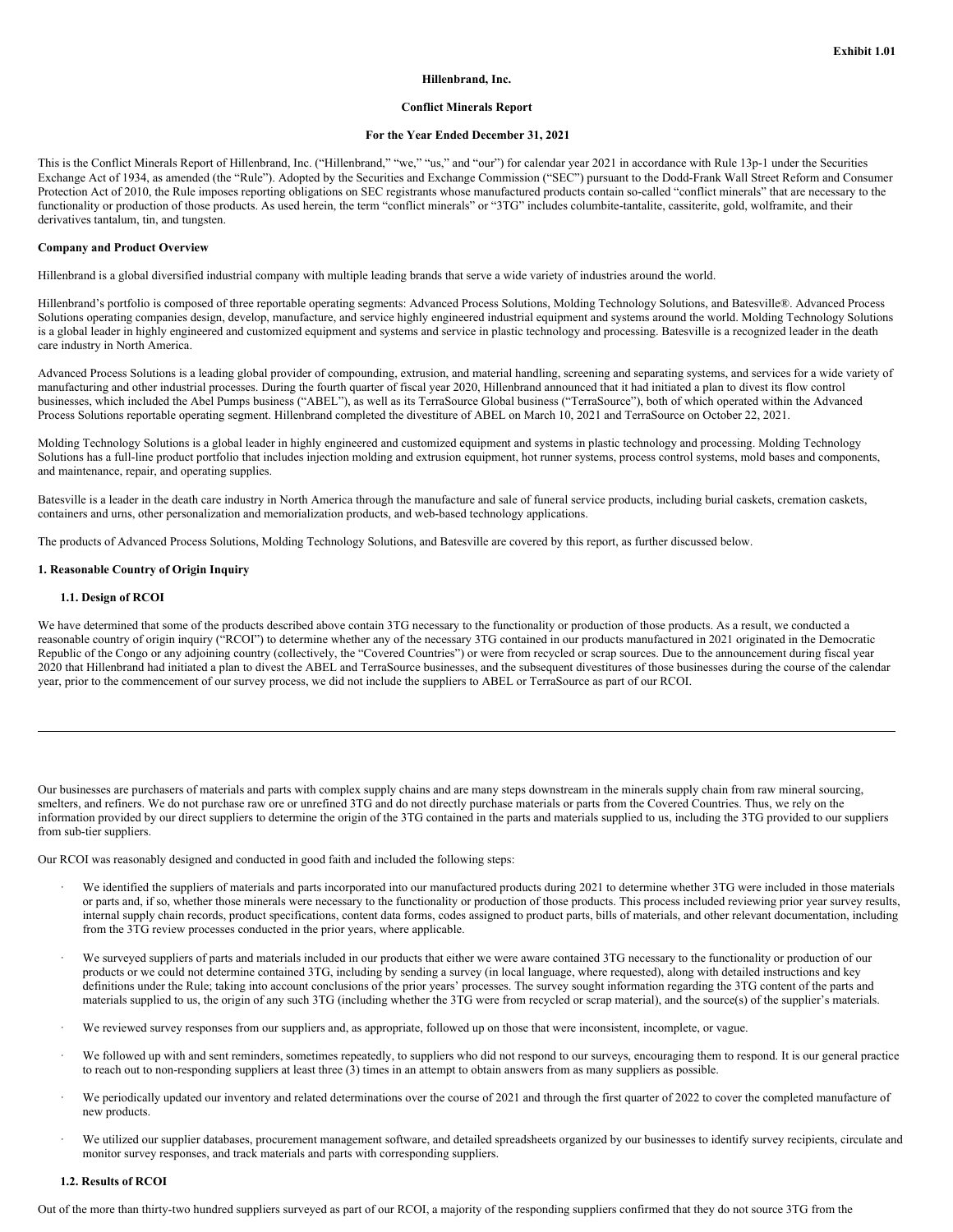#### **Hillenbrand, Inc.**

#### **Conflict Minerals Report**

#### **For the Year Ended December 31, 2021**

This is the Conflict Minerals Report of Hillenbrand, Inc. ("Hillenbrand," "we," "us," and "our") for calendar year 2021 in accordance with Rule 13p-1 under the Securities Exchange Act of 1934, as amended (the "Rule"). Adopted by the Securities and Exchange Commission ("SEC") pursuant to the Dodd-Frank Wall Street Reform and Consumer Protection Act of 2010, the Rule imposes reporting obligations on SEC registrants whose manufactured products contain so-called "conflict minerals" that are necessary to the functionality or production of those products. As used herein, the term "conflict minerals" or "3TG" includes columbite-tantalite, cassiterite, gold, wolframite, and their derivatives tantalum, tin, and tungsten.

#### **Company and Product Overview**

Hillenbrand is a global diversified industrial company with multiple leading brands that serve a wide variety of industries around the world.

Hillenbrand's portfolio is composed of three reportable operating segments: Advanced Process Solutions, Molding Technology Solutions, and Batesville®. Advanced Process Solutions operating companies design, develop, manufacture, and service highly engineered industrial equipment and systems around the world. Molding Technology Solutions is a global leader in highly engineered and customized equipment and systems and service in plastic technology and processing. Batesville is a recognized leader in the death care industry in North America.

Advanced Process Solutions is a leading global provider of compounding, extrusion, and material handling, screening and separating systems, and services for a wide variety of manufacturing and other industrial processes. During the fourth quarter of fiscal year 2020, Hillenbrand announced that it had initiated a plan to divest its flow control businesses, which included the Abel Pumps business ("ABEL"), as well as its TerraSource Global business ("TerraSource"), both of which operated within the Advanced Process Solutions reportable operating segment. Hillenbrand completed the divestiture of ABEL on March 10, 2021 and TerraSource on October 22, 2021.

Molding Technology Solutions is a global leader in highly engineered and customized equipment and systems in plastic technology and processing. Molding Technology Solutions has a full-line product portfolio that includes injection molding and extrusion equipment, hot runner systems, process control systems, mold bases and components, and maintenance, repair, and operating supplies.

Batesville is a leader in the death care industry in North America through the manufacture and sale of funeral service products, including burial caskets, cremation caskets, containers and urns, other personalization and memorialization products, and web-based technology applications.

The products of Advanced Process Solutions, Molding Technology Solutions, and Batesville are covered by this report, as further discussed below.

## **1. Reasonable Country of Origin Inquiry**

#### **1.1. Design of RCOI**

We have determined that some of the products described above contain 3TG necessary to the functionality or production of those products. As a result, we conducted a reasonable country of origin inquiry ("RCOI") to determine whether any of the necessary 3TG contained in our products manufactured in 2021 originated in the Democratic Republic of the Congo or any adjoining country (collectively, the "Covered Countries") or were from recycled or scrap sources. Due to the announcement during fiscal year 2020 that Hillenbrand had initiated a plan to divest the ABEL and TerraSource businesses, and the subsequent divestitures of those businesses during the course of the calendar year, prior to the commencement of our survey process, we did not include the suppliers to ABEL or TerraSource as part of our RCOI.

Our businesses are purchasers of materials and parts with complex supply chains and are many steps downstream in the minerals supply chain from raw mineral sourcing, smelters, and refiners. We do not purchase raw ore or unrefined 3TG and do not directly purchase materials or parts from the Covered Countries. Thus, we rely on the information provided by our direct suppliers to determine the origin of the 3TG contained in the parts and materials supplied to us, including the 3TG provided to our suppliers from sub-tier suppliers.

Our RCOI was reasonably designed and conducted in good faith and included the following steps:

- We identified the suppliers of materials and parts incorporated into our manufactured products during 2021 to determine whether 3TG were included in those materials or parts and, if so, whether those minerals were necessary to the functionality or production of those products. This process included reviewing prior year survey results, internal supply chain records, product specifications, content data forms, codes assigned to product parts, bills of materials, and other relevant documentation, including from the 3TG review processes conducted in the prior years, where applicable.
- We surveyed suppliers of parts and materials included in our products that either we were aware contained 3TG necessary to the functionality or production of our products or we could not determine contained 3TG, including by sending a survey (in local language, where requested), along with detailed instructions and key definitions under the Rule; taking into account conclusions of the prior years' processes. The survey sought information regarding the 3TG content of the parts and materials supplied to us, the origin of any such 3TG (including whether the 3TG were from recycled or scrap material), and the source(s) of the supplier's materials.
- We reviewed survey responses from our suppliers and, as appropriate, followed up on those that were inconsistent, incomplete, or vague.
- We followed up with and sent reminders, sometimes repeatedly, to suppliers who did not respond to our surveys, encouraging them to respond. It is our general practice to reach out to non-responding suppliers at least three (3) times in an attempt to obtain answers from as many suppliers as possible.
- We periodically updated our inventory and related determinations over the course of 2021 and through the first quarter of 2022 to cover the completed manufacture of new products.
- We utilized our supplier databases, procurement management software, and detailed spreadsheets organized by our businesses to identify survey recipients, circulate and monitor survey responses, and track materials and parts with corresponding suppliers.

#### **1.2. Results of RCOI**

Out of the more than thirty-two hundred suppliers surveyed as part of our RCOI, a majority of the responding suppliers confirmed that they do not source 3TG from the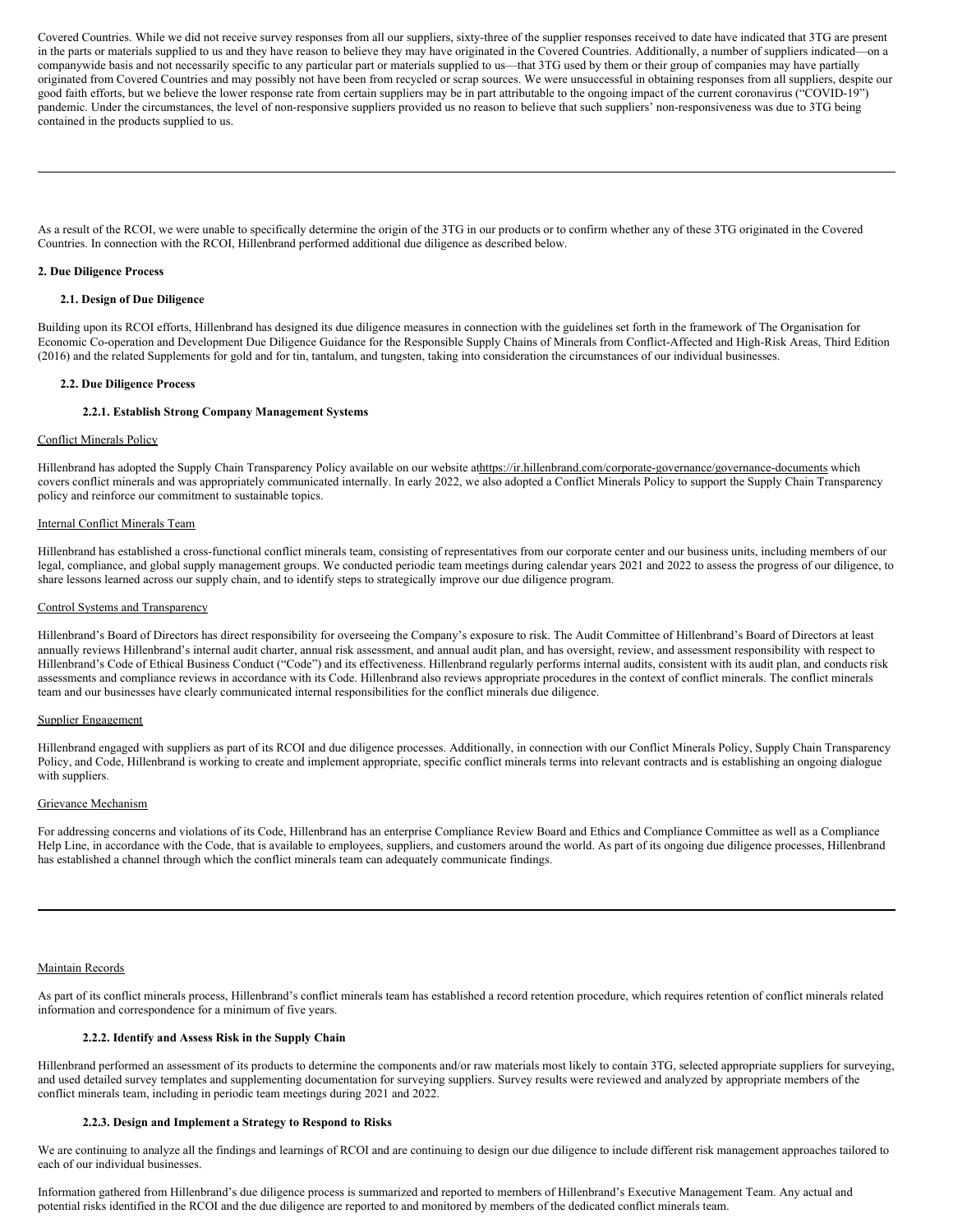Covered Countries. While we did not receive survey responses from all our suppliers, sixty-three of the supplier responses received to date have indicated that 3TG are present in the parts or materials supplied to us and they have reason to believe they may have originated in the Covered Countries. Additionally, a number of suppliers indicated—on a companywide basis and not necessarily specific to any particular part or materials supplied to us—that 3TG used by them or their group of companies may have partially originated from Covered Countries and may possibly not have been from recycled or scrap sources. We were unsuccessful in obtaining responses from all suppliers, despite our good faith efforts, but we believe the lower response rate from certain suppliers may be in part attributable to the ongoing impact of the current coronavirus ("COVID-19") pandemic. Under the circumstances, the level of non-responsive suppliers provided us no reason to believe that such suppliers' non-responsiveness was due to 3TG being contained in the products supplied to us.

As a result of the RCOI, we were unable to specifically determine the origin of the 3TG in our products or to confirm whether any of these 3TG originated in the Covered Countries. In connection with the RCOI, Hillenbrand performed additional due diligence as described below.

## **2. Due Diligence Process**

## **2.1. Design of Due Diligence**

Building upon its RCOI efforts, Hillenbrand has designed its due diligence measures in connection with the guidelines set forth in the framework of The Organisation for Economic Co-operation and Development Due Diligence Guidance for the Responsible Supply Chains of Minerals from Conflict-Affected and High-Risk Areas, Third Edition (2016) and the related Supplements for gold and for tin, tantalum, and tungsten, taking into consideration the circumstances of our individual businesses.

#### **2.2. Due Diligence Process**

## **2.2.1. Establish Strong Company Management Systems**

#### Conflict Minerals Policy

Hillenbrand has adopted the Supply Chain Transparency Policy available on our website athttps://ir.hillenbrand.com/corporate-governance/governance-documents which covers conflict minerals and was appropriately communicated internally. In early 2022, we also adopted a Conflict Minerals Policy to support the Supply Chain Transparency policy and reinforce our commitment to sustainable topics.

#### Internal Conflict Minerals Team

Hillenbrand has established a cross-functional conflict minerals team, consisting of representatives from our corporate center and our business units, including members of our legal, compliance, and global supply management groups. We conducted periodic team meetings during calendar years 2021 and 2022 to assess the progress of our diligence, to share lessons learned across our supply chain, and to identify steps to strategically improve our due diligence program.

#### Control Systems and Transparency

Hillenbrand's Board of Directors has direct responsibility for overseeing the Company's exposure to risk. The Audit Committee of Hillenbrand's Board of Directors at least annually reviews Hillenbrand's internal audit charter, annual risk assessment, and annual audit plan, and has oversight, review, and assessment responsibility with respect to Hillenbrand's Code of Ethical Business Conduct ("Code") and its effectiveness. Hillenbrand regularly performs internal audits, consistent with its audit plan, and conducts risk assessments and compliance reviews in accordance with its Code. Hillenbrand also reviews appropriate procedures in the context of conflict minerals. The conflict minerals team and our businesses have clearly communicated internal responsibilities for the conflict minerals due diligence.

#### Supplier Engagement

Hillenbrand engaged with suppliers as part of its RCOI and due diligence processes. Additionally, in connection with our Conflict Minerals Policy, Supply Chain Transparency Policy, and Code, Hillenbrand is working to create and implement appropriate, specific conflict minerals terms into relevant contracts and is establishing an ongoing dialogue with suppliers.

#### Grievance Mechanism

For addressing concerns and violations of its Code, Hillenbrand has an enterprise Compliance Review Board and Ethics and Compliance Committee as well as a Compliance Help Line, in accordance with the Code, that is available to employees, suppliers, and customers around the world. As part of its ongoing due diligence processes, Hillenbrand has established a channel through which the conflict minerals team can adequately communicate findings.

#### Maintain Records

As part of its conflict minerals process, Hillenbrand's conflict minerals team has established a record retention procedure, which requires retention of conflict minerals related information and correspondence for a minimum of five years.

#### **2.2.2. Identify and Assess Risk in the Supply Chain**

Hillenbrand performed an assessment of its products to determine the components and/or raw materials most likely to contain 3TG, selected appropriate suppliers for surveying, and used detailed survey templates and supplementing documentation for surveying suppliers. Survey results were reviewed and analyzed by appropriate members of the conflict minerals team, including in periodic team meetings during 2021 and 2022.

### **2.2.3. Design and Implement a Strategy to Respond to Risks**

We are continuing to analyze all the findings and learnings of RCOI and are continuing to design our due different to include different risk management approaches tailored to each of our individual businesses.

Information gathered from Hillenbrand's due diligence process is summarized and reported to members of Hillenbrand's Executive Management Team. Any actual and potential risks identified in the RCOI and the due diligence are reported to and monitored by members of the dedicated conflict minerals team.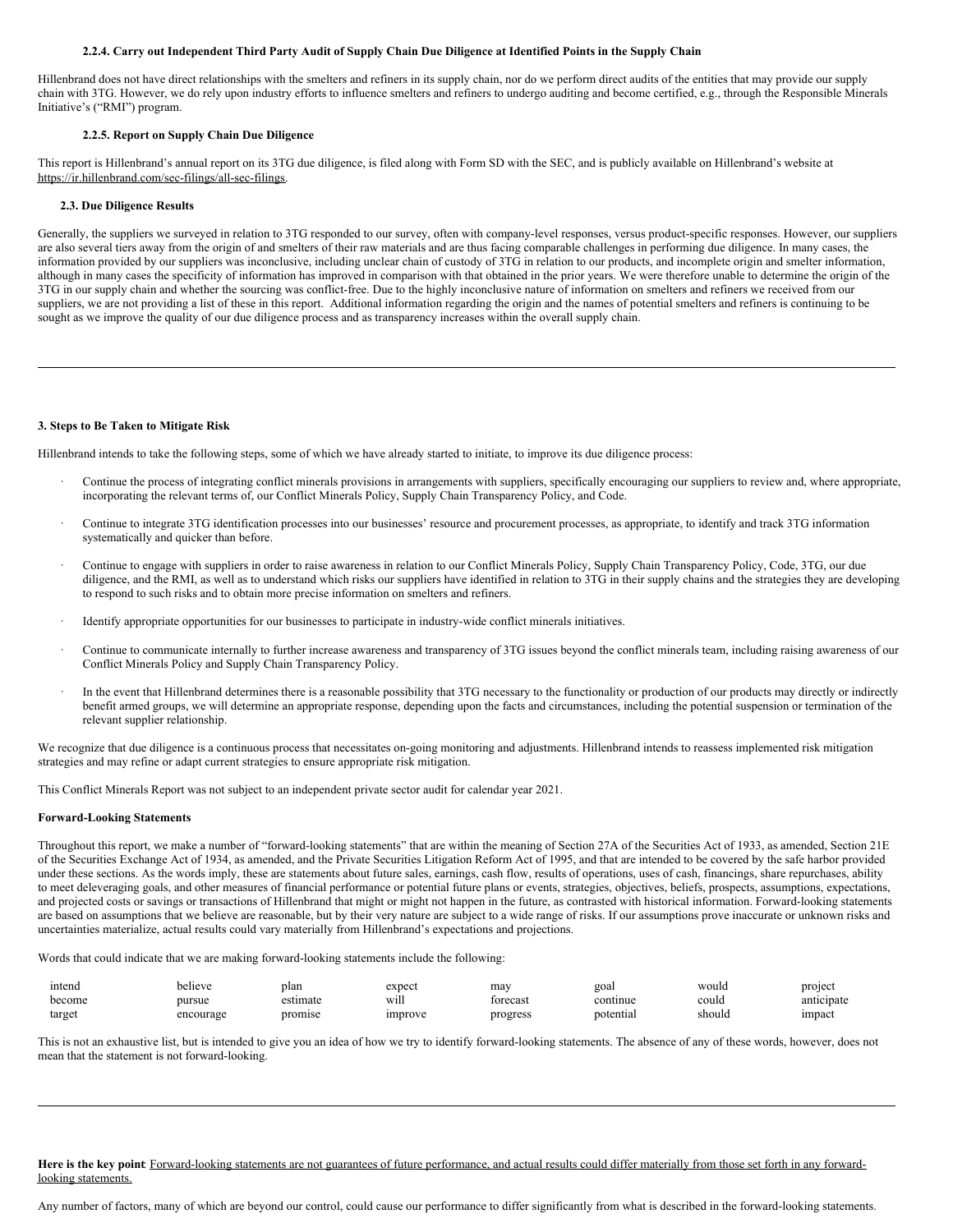### 2.2.4. Carry out Independent Third Party Audit of Supply Chain Due Diligence at Identified Points in the Supply Chain

Hillenbrand does not have direct relationships with the smelters and refiners in its supply chain, nor do we perform direct audits of the entities that may provide our supply chain with 3TG. However, we do rely upon industry efforts to influence smelters and refiners to undergo auditing and become certified, e.g., through the Responsible Minerals Initiative's ("RMI") program.

## **2.2.5. Report on Supply Chain Due Diligence**

This report is Hillenbrand's annual report on its 3TG due diligence, is filed along with Form SD with the SEC, and is publicly available on Hillenbrand's website at https://ir.hillenbrand.com/sec-filings/all-sec-filings.

## **2.3. Due Diligence Results**

Generally, the suppliers we surveyed in relation to 3TG responded to our survey, often with company-level responses, versus product-specific responses. However, our suppliers are also several tiers away from the origin of and smelters of their raw materials and are thus facing comparable challenges in performing due diligence. In many cases, the information provided by our suppliers was inconclusive, including unclear chain of custody of 3TG in relation to our products, and incomplete origin and smelter information, although in many cases the specificity of information has improved in comparison with that obtained in the prior years. We were therefore unable to determine the origin of the 3TG in our supply chain and whether the sourcing was conflict-free. Due to the highly inconclusive nature of information on smelters and refiners we received from our suppliers, we are not providing a list of these in this report. Additional information regarding the origin and the names of potential smelters and refiners is continuing to be sought as we improve the quality of our due diligence process and as transparency increases within the overall supply chain.

### **3. Steps to Be Taken to Mitigate Risk**

Hillenbrand intends to take the following steps, some of which we have already started to initiate, to improve its due diligence process:

- · Continue the process of integrating conflict minerals provisions in arrangements with suppliers, specifically encouraging our suppliers to review and, where appropriate, incorporating the relevant terms of, our Conflict Minerals Policy, Supply Chain Transparency Policy, and Code.
- Continue to integrate 3TG identification processes into our businesses' resource and procurement processes, as appropriate, to identify and track 3TG information systematically and quicker than before.
- · Continue to engage with suppliers in order to raise awareness in relation to our Conflict Minerals Policy, Supply Chain Transparency Policy, Code, 3TG, our due diligence, and the RMI, as well as to understand which risks our suppliers have identified in relation to 3TG in their supply chains and the strategies they are developing to respond to such risks and to obtain more precise information on smelters and refiners.
- Identify appropriate opportunities for our businesses to participate in industry-wide conflict minerals initiatives.
- · Continue to communicate internally to further increase awareness and transparency of 3TG issues beyond the conflict minerals team, including raising awareness of our Conflict Minerals Policy and Supply Chain Transparency Policy.
- In the event that Hillenbrand determines there is a reasonable possibility that 3TG necessary to the functionality or production of our products may directly or indirectly benefit armed groups, we will determine an appropriate response, depending upon the facts and circumstances, including the potential suspension or termination of the relevant supplier relationship.

We recognize that due diligence is a continuous process that necessitates on-going monitoring and adjustments. Hillenbrand intends to reassess implemented risk mitigation strategies and may refine or adapt current strategies to ensure appropriate risk mitigation.

This Conflict Minerals Report was not subject to an independent private sector audit for calendar year 2021.

#### **Forward-Looking Statements**

Throughout this report, we make a number of "forward-looking statements" that are within the meaning of Section 27A of the Securities Act of 1933, as amended, Section 21E of the Securities Exchange Act of 1934, as amended, and the Private Securities Litigation Reform Act of 1995, and that are intended to be covered by the safe harbor provided under these sections. As the words imply, these are statements about future sales, earnings, cash flow, results of operations, uses of cash, financings, share repurchases, ability to meet deleveraging goals, and other measures of financial performance or potential future plans or events, strategies, objectives, beliefs, prospects, assumptions, expectations, and projected costs or savings or transactions of Hillenbrand that might or might not happen in the future, as contrasted with historical information. Forward-looking statements are based on assumptions that we believe are reasonable, but by their very nature are subject to a wide range of risks. If our assumptions prove inaccurate or unknown risks and uncertainties materialize, actual results could vary materially from Hillenbrand's expectations and projections.

Words that could indicate that we are making forward-looking statements include the following:

| intend | pelieve   | plan     | expect   | may                | goal      | would  | project    |
|--------|-----------|----------|----------|--------------------|-----------|--------|------------|
| become | pursue    | estimate | <br>W1lı | <i>r</i> orecasure | continue  | coula  | anticipate |
| target | encourage | promise  | improve  | progress           | notential | should | impact     |

This is not an exhaustive list, but is intended to give you an idea of how we try to identify forward-looking statements. The absence of any of these words, however, does not mean that the statement is not forward-looking.

## Here is the key point Forward-looking statements are not guarantees of future performance, and actual results could differ materially from those set forth in any forwardlooking statements.

Any number of factors, many of which are beyond our control, could cause our performance to differ significantly from what is described in the forward-looking statements.